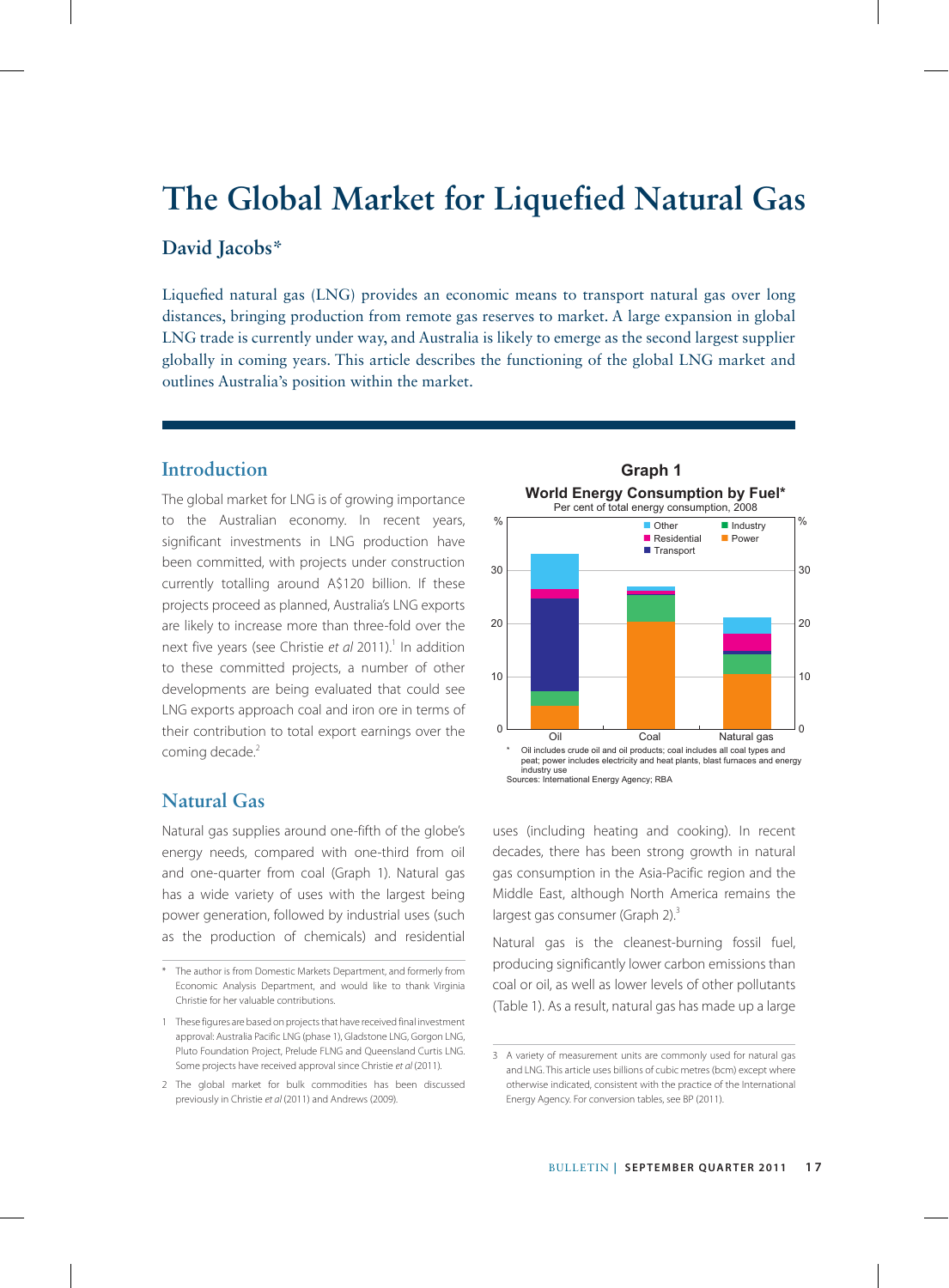# **The Global Market for Liquefied Natural Gas**

# **David Jacobs\***

Liquefied natural gas (LNG) provides an economic means to transport natural gas over long distances, bringing production from remote gas reserves to market. A large expansion in global LNG trade is currently under way, and Australia is likely to emerge as the second largest supplier globally in coming years. This article describes the functioning of the global LNG market and outlines Australia's position within the market.

# **Introduction**

The global market for LNG is of growing importance to the Australian economy. In recent years, significant investments in LNG production have been committed, with projects under construction currently totalling around A\$120 billion. If these projects proceed as planned, Australia's LNG exports are likely to increase more than three-fold over the next five years (see Christie et al 2011).<sup>1</sup> In addition to these committed projects, a number of other developments are being evaluated that could see LNG exports approach coal and iron ore in terms of their contribution to total export earnings over the coming decade.<sup>2</sup>

# **Natural Gas**

Natural gas supplies around one-fifth of the globe's energy needs, compared with one-third from oil and one-quarter from coal (Graph 1). Natural gas has a wide variety of uses with the largest being power generation, followed by industrial uses (such as the production of chemicals) and residential



uses (including heating and cooking). In recent decades, there has been strong growth in natural gas consumption in the Asia-Pacific region and the Middle East, although North America remains the largest gas consumer (Graph 2).<sup>3</sup>

Natural gas is the cleanest-burning fossil fuel, producing significantly lower carbon emissions than coal or oil, as well as lower levels of other pollutants (Table 1). As a result, natural gas has made up a large

<sup>\*</sup> The author is from Domestic Markets Department, and formerly from Economic Analysis Department, and would like to thank Virginia Christie for her valuable contributions.

<sup>1</sup> These figures are based on projects that have received final investment approval: Australia Pacific LNG (phase 1), Gladstone LNG, Gorgon LNG, Pluto Foundation Project, Prelude FLNG and Queensland Curtis LNG. Some projects have received approval since Christie *et al* (2011)*.*

<sup>2</sup> The global market for bulk commodities has been discussed previously in Christie *et al* (2011) and Andrews (2009)*.*

<sup>3</sup> A variety of measurement units are commonly used for natural gas and LNG. This article uses billions of cubic metres (bcm) except where otherwise indicated, consistent with the practice of the International Energy Agency. For conversion tables, see BP (2011).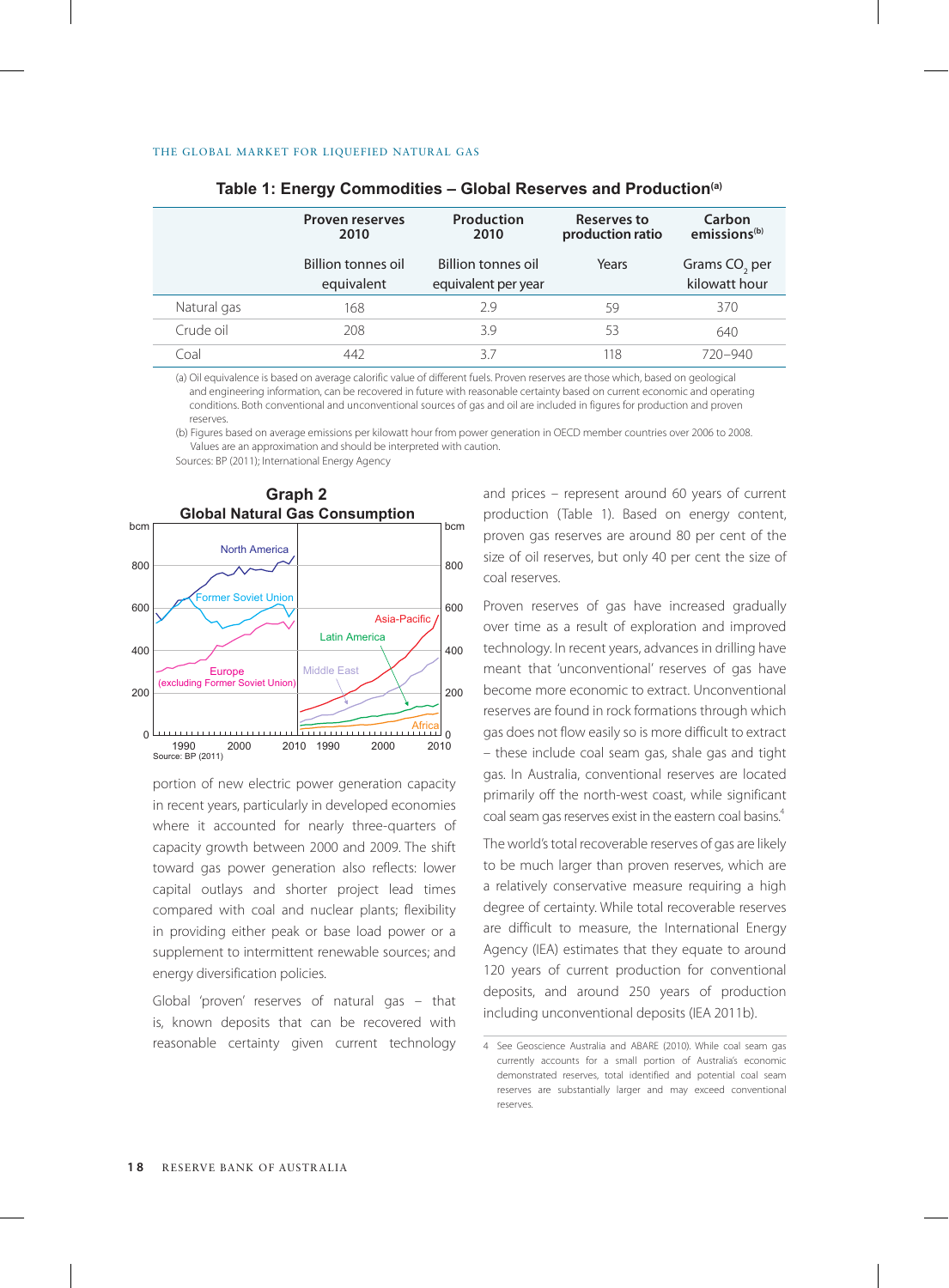|             | <b>Proven reserves</b><br>2010   | Production<br>2010                        | Reserves to<br>production ratio | Carbon<br>emissions <sup>(b)</sup>         |
|-------------|----------------------------------|-------------------------------------------|---------------------------------|--------------------------------------------|
|             | Billion tonnes oil<br>equivalent | Billion tonnes oil<br>equivalent per year | Years                           | Grams CO <sub>2</sub> per<br>kilowatt hour |
| Natural gas | 168                              | 2.9                                       | 59                              | 370                                        |
| Crude oil   | 208                              | 3.9                                       | 53                              | 640                                        |
| Coal        | 442                              | 37                                        | 118                             | $720 - 940$                                |

|  |  | Table 1: Energy Commodities – Global Reserves and Production <sup>(a)</sup> |  |  |  |
|--|--|-----------------------------------------------------------------------------|--|--|--|
|--|--|-----------------------------------------------------------------------------|--|--|--|

(a) Oil equivalence is based on average calorific value of different fuels. Proven reserves are those which, based on geological and engineering information, can be recovered in future with reasonable certainty based on current economic and operating conditions. Both conventional and unconventional sources of gas and oil are included in figures for production and proven reserves.

(b) Figures based on average emissions per kilowatt hour from power generation in OECD member countries over 2006 to 2008. Values are an approximation and should be interpreted with caution.

Sources: BP (2011); International Energy Agency



portion of new electric power generation capacity in recent years, particularly in developed economies where it accounted for nearly three-quarters of capacity growth between 2000 and 2009. The shift toward gas power generation also reflects: lower capital outlays and shorter project lead times compared with coal and nuclear plants; flexibility in providing either peak or base load power or a supplement to intermittent renewable sources; and energy diversification policies.

Global 'proven' reserves of natural gas – that is, known deposits that can be recovered with reasonable certainty given current technology and prices – represent around 60 years of current production (Table 1). Based on energy content, proven gas reserves are around 80 per cent of the size of oil reserves, but only 40 per cent the size of coal reserves.

Proven reserves of gas have increased gradually over time as a result of exploration and improved technology. In recent years, advances in drilling have meant that 'unconventional' reserves of gas have become more economic to extract. Unconventional reserves are found in rock formations through which gas does not flow easily so is more difficult to extract – these include coal seam gas, shale gas and tight gas. In Australia, conventional reserves are located primarily off the north-west coast, while significant coal seam gas reserves exist in the eastern coal basins.<sup>4</sup>

The world's total recoverable reserves of gas are likely to be much larger than proven reserves, which are a relatively conservative measure requiring a high degree of certainty. While total recoverable reserves are difficult to measure, the International Energy Agency (IEA) estimates that they equate to around 120 years of current production for conventional deposits, and around 250 years of production including unconventional deposits (IEA 2011b).

<sup>4</sup> See Geoscience Australia and ABARE (2010). While coal seam gas currently accounts for a small portion of Australia's economic demonstrated reserves, total identified and potential coal seam reserves are substantially larger and may exceed conventional reserves.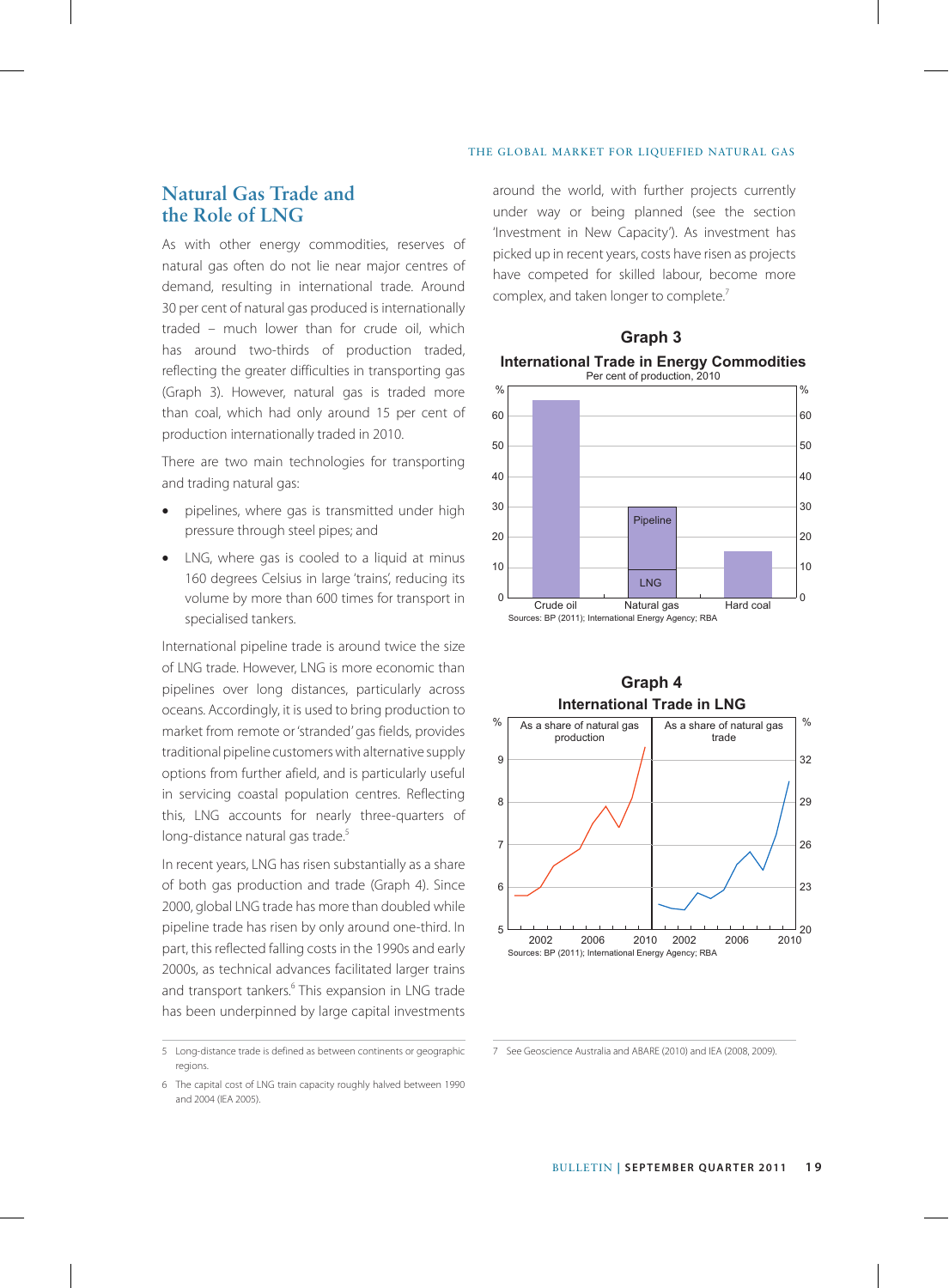# **Natural Gas Trade and the Role of LNG**

As with other energy commodities, reserves of natural gas often do not lie near major centres of demand, resulting in international trade. Around 30 per cent of natural gas produced is internationally traded – much lower than for crude oil, which has around two-thirds of production traded, reflecting the greater difficulties in transporting gas (Graph 3). However, natural gas is traded more than coal, which had only around 15 per cent of production internationally traded in 2010.

There are two main technologies for transporting and trading natural gas:

- pipelines, where gas is transmitted under high pressure through steel pipes; and
- LNG, where gas is cooled to a liquid at minus 160 degrees Celsius in large 'trains', reducing its volume by more than 600 times for transport in specialised tankers.

International pipeline trade is around twice the size of LNG trade. However, LNG is more economic than pipelines over long distances, particularly across oceans. Accordingly, it is used to bring production to market from remote or 'stranded' gas fields, provides traditional pipeline customers with alternative supply options from further afield, and is particularly useful in servicing coastal population centres. Reflecting this, LNG accounts for nearly three-quarters of long-distance natural gas trade.<sup>5</sup>

In recent years, LNG has risen substantially as a share of both gas production and trade (Graph 4). Since 2000, global LNG trade has more than doubled while pipeline trade has risen by only around one-third. In part, this reflected falling costs in the 1990s and early 2000s, as technical advances facilitated larger trains and transport tankers.<sup>6</sup> This expansion in LNG trade has been underpinned by large capital investments

around the world, with further projects currently under way or being planned (see the section 'Investment in New Capacity'). As investment has picked up in recent years, costs have risen as projects have competed for skilled labour, become more complex, and taken longer to complete.<sup>7</sup>





## **Graph 4 International Trade in LNG**



<sup>5</sup> Long-distance trade is defined as between continents or geographic regions.

<sup>6</sup> The capital cost of LNG train capacity roughly halved between 1990 and 2004 (IEA 2005).

<sup>7</sup> See Geoscience Australia and ABARE (2010) and IEA (2008, 2009).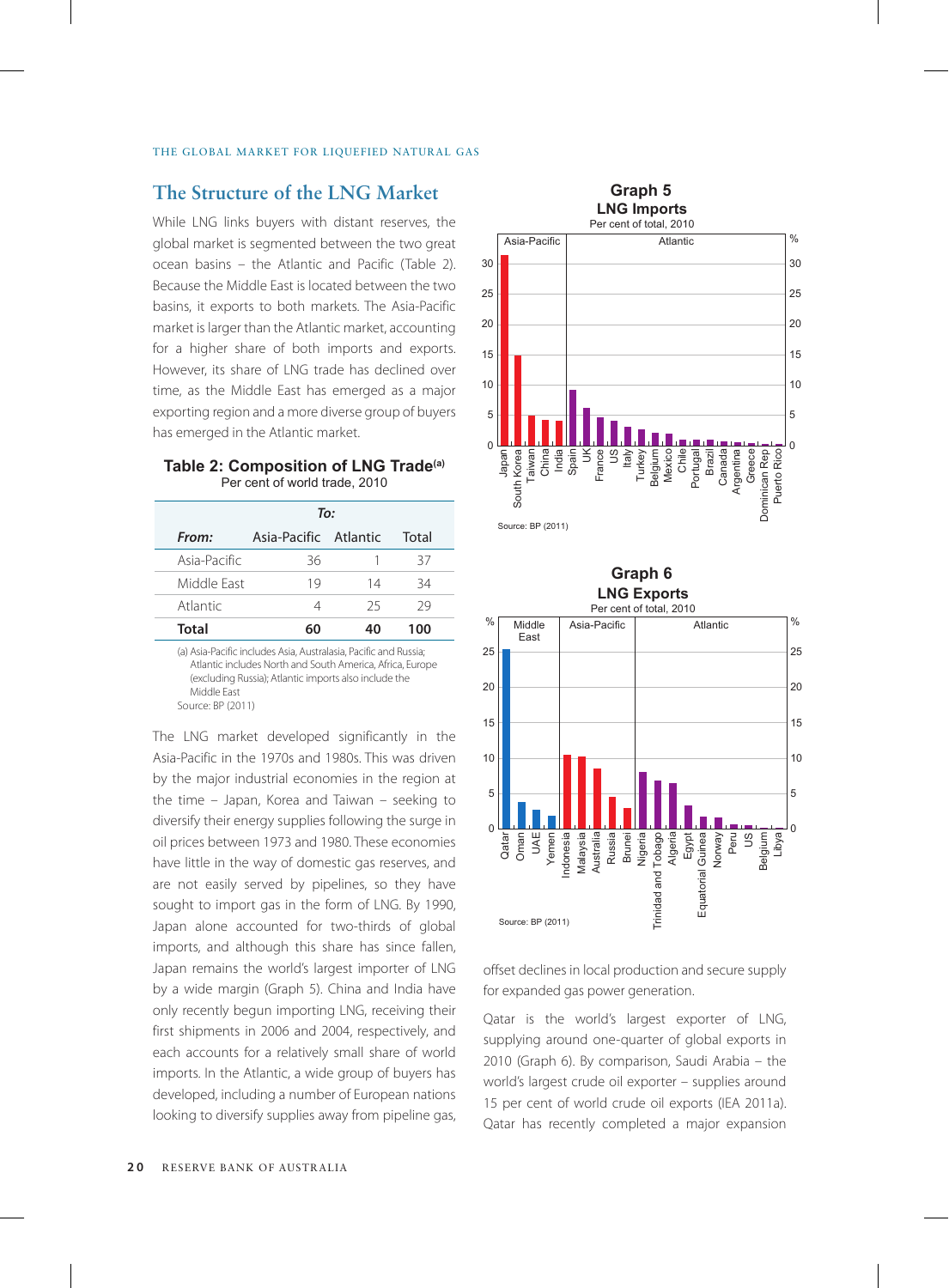## **The Structure of the LNG Market**

While LNG links buyers with distant reserves, the global market is segmented between the two great ocean basins – the Atlantic and Pacific (Table 2). Because the Middle East is located between the two basins, it exports to both markets. The Asia-Pacific market is larger than the Atlantic market, accounting for a higher share of both imports and exports. However, its share of LNG trade has declined over time, as the Middle East has emerged as a major exporting region and a more diverse group of buyers has emerged in the Atlantic market.

## **Table 2: Composition of LNG Trade(a)** Per cent of world trade, 2010

|              | To:                   |    |       |  |
|--------------|-----------------------|----|-------|--|
| From:        | Asia-Pacific Atlantic |    | Total |  |
| Asia-Pacific | 36                    | 1  | 37    |  |
| Middle Fast  | 19                    | 14 | 34    |  |
| Atlantic     | Δ                     | 25 | 29    |  |
| Total        | 60                    | 40 | 100   |  |

(a) Asia-Pacific includes Asia, Australasia, Pacific and Russia; Atlantic includes North and South America, Africa, Europe (excluding Russia); Atlantic imports also include the Middle East Source: BP (2011)

The LNG market developed significantly in the Asia-Pacific in the 1970s and 1980s. This was driven by the major industrial economies in the region at the time – Japan, Korea and Taiwan – seeking to diversify their energy supplies following the surge in oil prices between 1973 and 1980. These economies have little in the way of domestic gas reserves, and are not easily served by pipelines, so they have sought to import gas in the form of LNG. By 1990, Japan alone accounted for two-thirds of global imports, and although this share has since fallen, Japan remains the world's largest importer of LNG by a wide margin (Graph 5). China and India have only recently begun importing LNG, receiving their first shipments in 2006 and 2004, respectively, and each accounts for a relatively small share of world imports. In the Atlantic, a wide group of buyers has developed, including a number of European nations looking to diversify supplies away from pipeline gas,



**Graph 6**



offset declines in local production and secure supply for expanded gas power generation.

Qatar is the world's largest exporter of LNG, supplying around one-quarter of global exports in 2010 (Graph 6). By comparison, Saudi Arabia – the world's largest crude oil exporter – supplies around 15 per cent of world crude oil exports (IEA 2011a). Qatar has recently completed a major expansion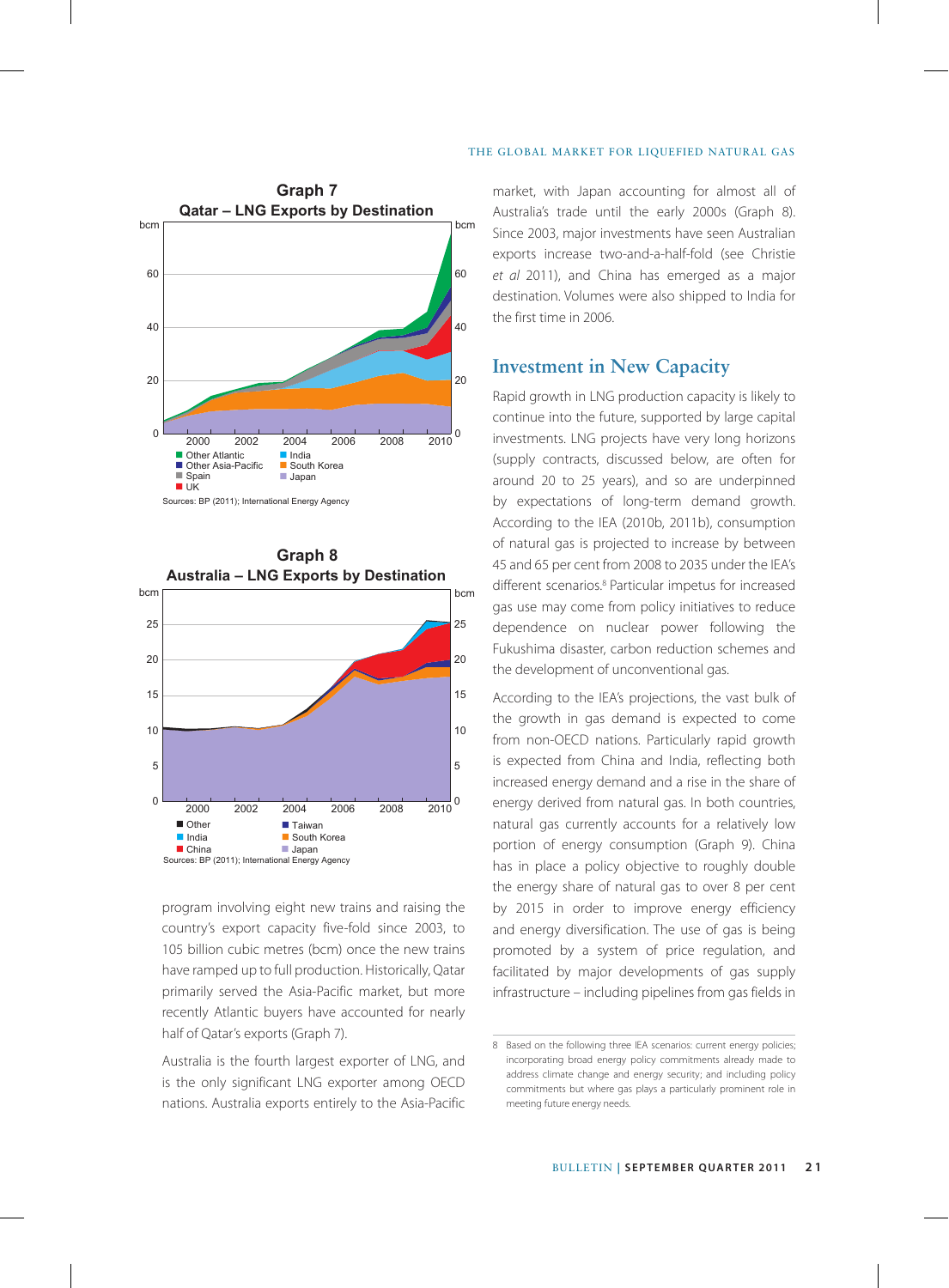



program involving eight new trains and raising the country's export capacity five-fold since 2003, to 105 billion cubic metres (bcm) once the new trains have ramped up to full production. Historically, Qatar primarily served the Asia-Pacific market, but more recently Atlantic buyers have accounted for nearly half of Qatar's exports (Graph 7).

Australia is the fourth largest exporter of LNG, and is the only significant LNG exporter among OECD nations. Australia exports entirely to the Asia-Pacific

market, with Japan accounting for almost all of Australia's trade until the early 2000s (Graph 8). Since 2003, major investments have seen Australian exports increase two-and-a-half-fold (see Christie *et al* 2011), and China has emerged as a major destination. Volumes were also shipped to India for the first time in 2006.

## **Investment in New Capacity**

Rapid growth in LNG production capacity is likely to continue into the future, supported by large capital investments. LNG projects have very long horizons (supply contracts, discussed below, are often for around 20 to 25 years), and so are underpinned by expectations of long-term demand growth. According to the IEA (2010b, 2011b), consumption of natural gas is projected to increase by between 45 and 65 per cent from 2008 to 2035 under the IEA's different scenarios.8 Particular impetus for increased gas use may come from policy initiatives to reduce dependence on nuclear power following the Fukushima disaster, carbon reduction schemes and the development of unconventional gas.

According to the IEA's projections, the vast bulk of the growth in gas demand is expected to come from non-OECD nations. Particularly rapid growth is expected from China and India, reflecting both increased energy demand and a rise in the share of energy derived from natural gas. In both countries, natural gas currently accounts for a relatively low portion of energy consumption (Graph 9). China has in place a policy objective to roughly double the energy share of natural gas to over 8 per cent by 2015 in order to improve energy efficiency and energy diversification. The use of gas is being promoted by a system of price regulation, and facilitated by major developments of gas supply infrastructure – including pipelines from gas fields in

<sup>8</sup> Based on the following three IEA scenarios: current energy policies; incorporating broad energy policy commitments already made to address climate change and energy security; and including policy commitments but where gas plays a particularly prominent role in meeting future energy needs.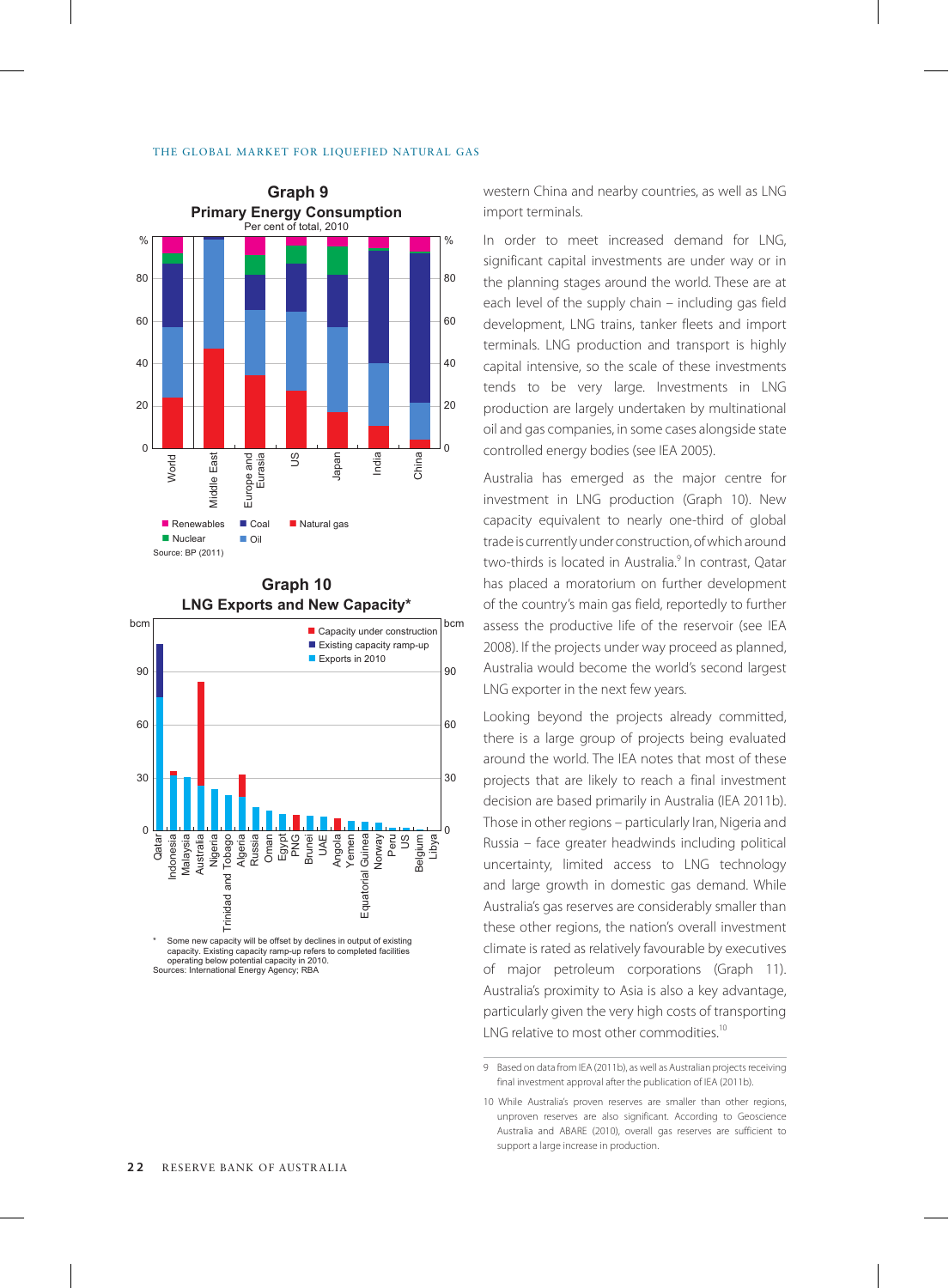### THE GLOBAL MARKET FOR LIQUEFIED NATURAL GAS





**Graph 10**

**Graph 9 Graph 9 western China and nearby countries, as well as LNG** import terminals.

> In order to meet increased demand for LNG, significant capital investments are under way or in the planning stages around the world. These are at each level of the supply chain – including gas field development, LNG trains, tanker fleets and import terminals. LNG production and transport is highly capital intensive, so the scale of these investments tends to be very large. Investments in LNG production are largely undertaken by multinational oil and gas companies, in some cases alongside state controlled energy bodies (see IEA 2005).

> Australia has emerged as the major centre for investment in LNG production (Graph 10). New capacity equivalent to nearly one-third of global trade is currently under construction, of which around two-thirds is located in Australia.<sup>9</sup> In contrast, Oatar has placed a moratorium on further development of the country's main gas field, reportedly to further assess the productive life of the reservoir (see IEA 2008). If the projects under way proceed as planned, Australia would become the world's second largest LNG exporter in the next few years.

> Looking beyond the projects already committed, there is a large group of projects being evaluated around the world. The IEA notes that most of these projects that are likely to reach a final investment decision are based primarily in Australia (IEA 2011b). Those in other regions – particularly Iran, Nigeria and Russia – face greater headwinds including political uncertainty, limited access to LNG technology and large growth in domestic gas demand. While Australia's gas reserves are considerably smaller than these other regions, the nation's overall investment climate is rated as relatively favourable by executives of major petroleum corporations (Graph 11). Australia's proximity to Asia is also a key advantage, particularly given the very high costs of transporting LNG relative to most other commodities.<sup>10</sup>

<sup>9</sup> Based on data from IEA (2011b), as well as Australian projects receiving final investment approval after the publication of IEA (2011b).

<sup>10</sup> While Australia's proven reserves are smaller than other regions, unproven reserves are also significant. According to Geoscience Australia and ABARE (2010), overall gas reserves are sufficient to support a large increase in production.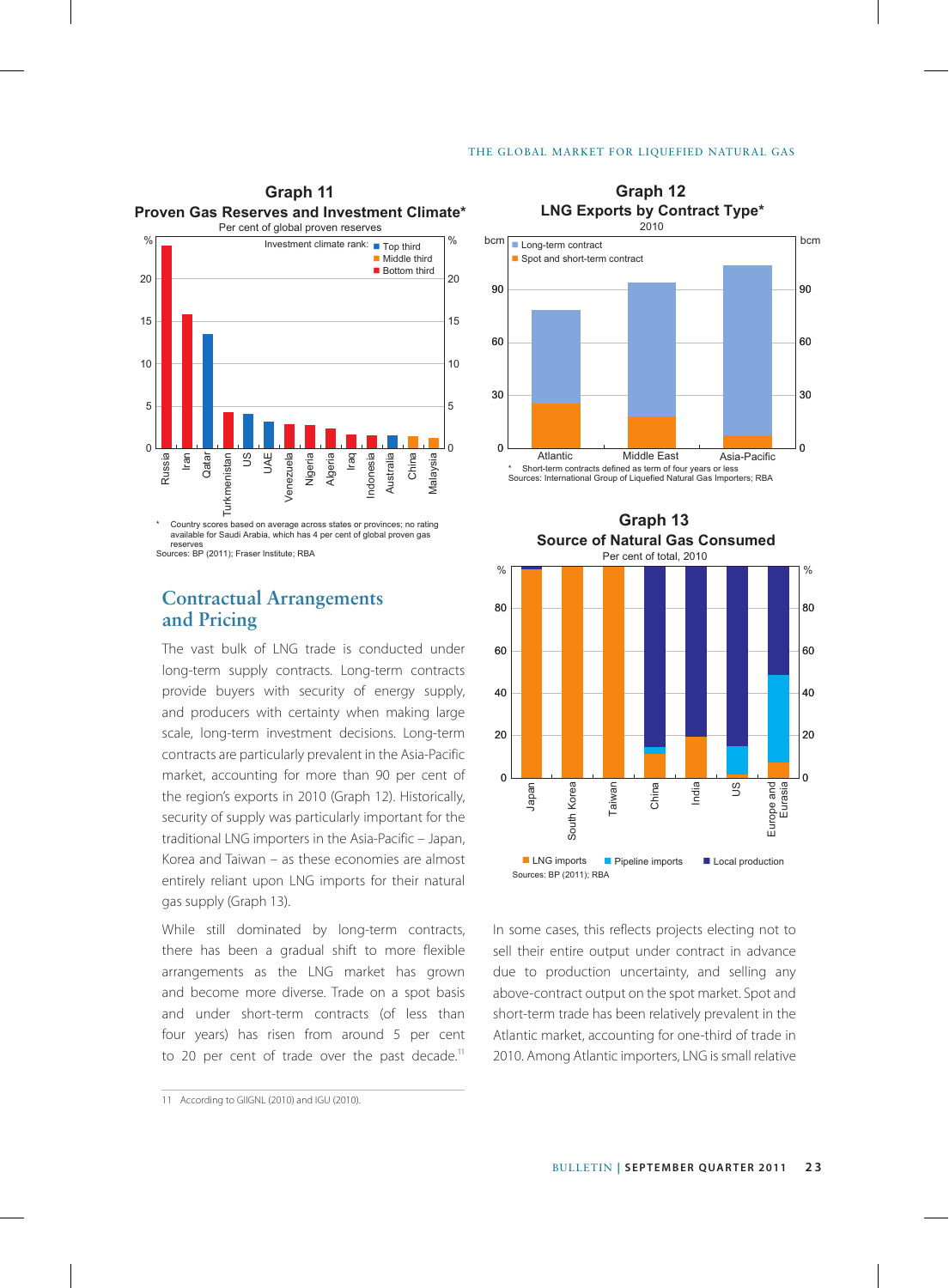

Sources: BP (2011); Fraser Institute; RBA

# **Contractual Arrangements and Pricing**

The vast bulk of LNG trade is conducted under long-term supply contracts. Long-term contracts provide buyers with security of energy supply, and producers with certainty when making large scale, long-term investment decisions. Long-term contracts are particularly prevalent in the Asia-Pacific market, accounting for more than 90 per cent of the region's exports in 2010 (Graph 12). Historically, security of supply was particularly important for the traditional LNG importers in the Asia-Pacific – Japan, Korea and Taiwan – as these economies are almost entirely reliant upon LNG imports for their natural gas supply (Graph 13).

While still dominated by long-term contracts, there has been a gradual shift to more flexible arrangements as the LNG market has grown and become more diverse. Trade on a spot basis and under short-term contracts (of less than four years) has risen from around 5 per cent to 20 per cent of trade over the past decade.<sup>11</sup>

11 According to GIIGNL (2010) and IGU (2010).





In some cases, this reflects projects electing not to sell their entire output under contract in advance due to production uncertainty, and selling any above-contract output on the spot market. Spot and short-term trade has been relatively prevalent in the Atlantic market, accounting for one-third of trade in 2010. Among Atlantic importers, LNG is small relative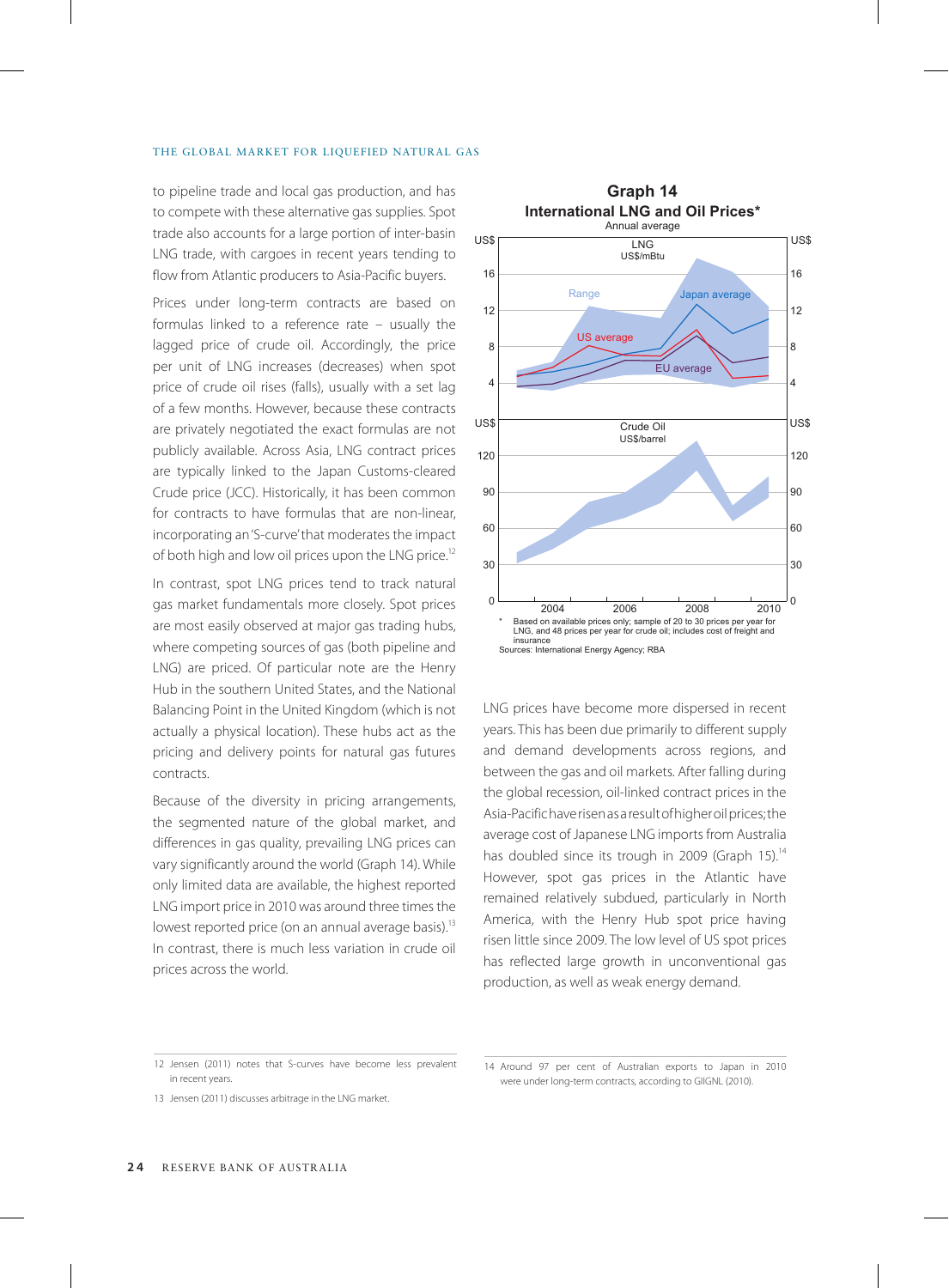## THE GLOBAL MARKET FOR LIQUEFIED NATURAL GAS

to pipeline trade and local gas production, and has to compete with these alternative gas supplies. Spot trade also accounts for a large portion of inter-basin LNG trade, with cargoes in recent years tending to flow from Atlantic producers to Asia-Pacific buyers.

Prices under long-term contracts are based on formulas linked to a reference rate – usually the lagged price of crude oil. Accordingly, the price per unit of LNG increases (decreases) when spot price of crude oil rises (falls), usually with a set lag of a few months. However, because these contracts are privately negotiated the exact formulas are not publicly available. Across Asia, LNG contract prices are typically linked to the Japan Customs-cleared Crude price (JCC). Historically, it has been common for contracts to have formulas that are non-linear, incorporating an 'S-curve' that moderates the impact of both high and low oil prices upon the LNG price.<sup>12</sup>

In contrast, spot LNG prices tend to track natural gas market fundamentals more closely. Spot prices are most easily observed at major gas trading hubs, where competing sources of gas (both pipeline and LNG) are priced. Of particular note are the Henry Hub in the southern United States, and the National Balancing Point in the United Kingdom (which is not actually a physical location). These hubs act as the pricing and delivery points for natural gas futures contracts.

Because of the diversity in pricing arrangements, the segmented nature of the global market, and differences in gas quality, prevailing LNG prices can vary significantly around the world (Graph 14). While only limited data are available, the highest reported LNG import price in 2010 was around three times the lowest reported price (on an annual average basis).<sup>13</sup> In contrast, there is much less variation in crude oil prices across the world.



LNG prices have become more dispersed in recent years. This has been due primarily to different supply and demand developments across regions, and between the gas and oil markets. After falling during the global recession, oil-linked contract prices in the Asia-Pacific have risen as a result of higher oil prices; the average cost of Japanese LNG imports from Australia has doubled since its trough in 2009 (Graph 15).<sup>14</sup> However, spot gas prices in the Atlantic have remained relatively subdued, particularly in North America, with the Henry Hub spot price having risen little since 2009. The low level of US spot prices has reflected large growth in unconventional gas production, as well as weak energy demand.

<sup>12</sup> Jensen (2011) notes that S-curves have become less prevalent in recent years.

<sup>13</sup> Jensen (2011) discusses arbitrage in the LNG market.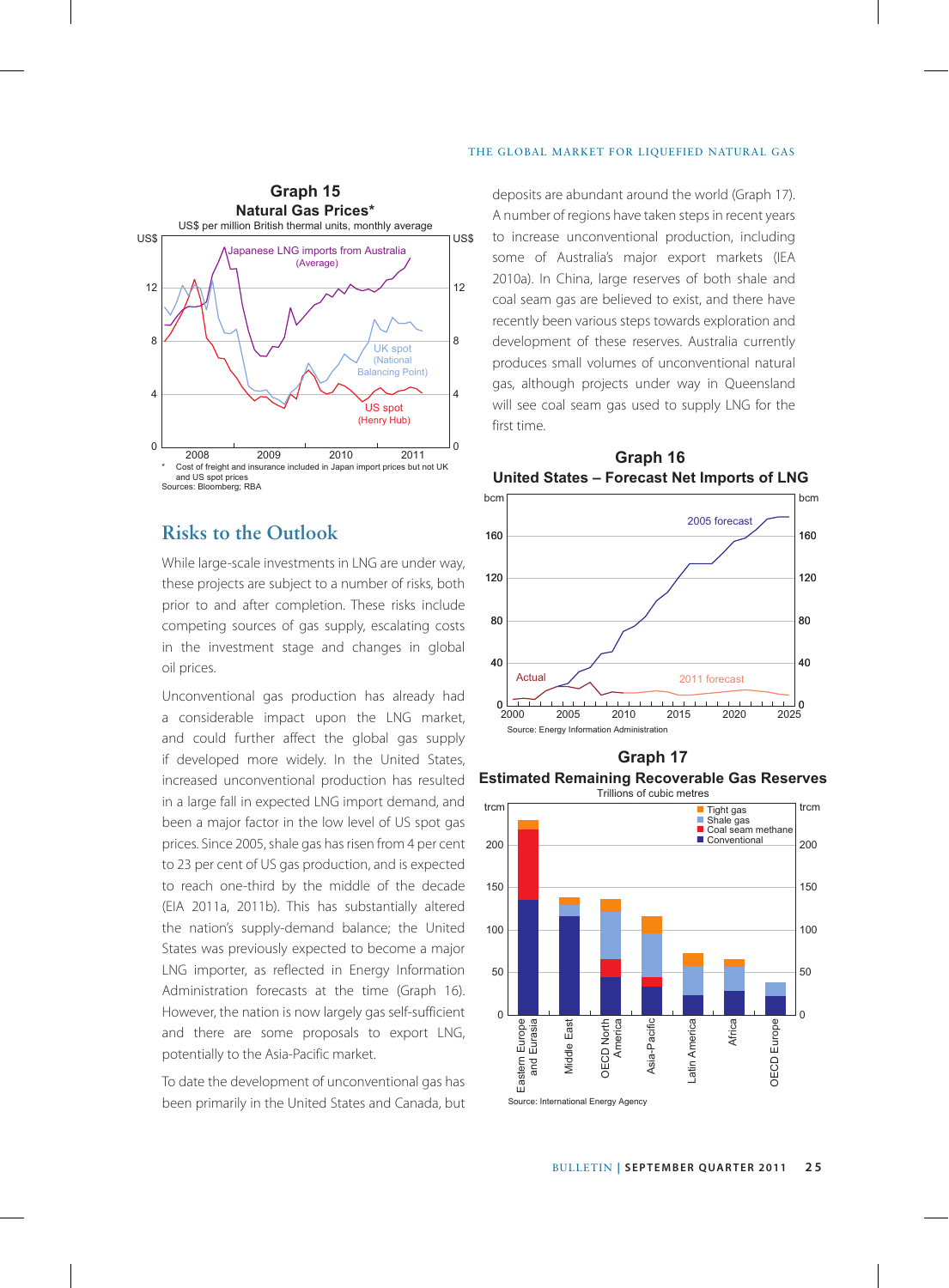

# **Risks to the Outlook**

While large-scale investments in LNG are under way, these projects are subject to a number of risks, both prior to and after completion. These risks include competing sources of gas supply, escalating costs in the investment stage and changes in global oil prices.

Unconventional gas production has already had a considerable impact upon the LNG market, and could further affect the global gas supply if developed more widely. In the United States, increased unconventional production has resulted in a large fall in expected LNG import demand, and been a major factor in the low level of US spot gas prices. Since 2005, shale gas has risen from 4 per cent to 23 per cent of US gas production, and is expected to reach one-third by the middle of the decade (EIA 2011a, 2011b). This has substantially altered the nation's supply-demand balance; the United States was previously expected to become a major LNG importer, as reflected in Energy Information Administration forecasts at the time (Graph 16). However, the nation is now largely gas self-sufficient and there are some proposals to export LNG, potentially to the Asia-Pacific market.

To date the development of unconventional gas has been primarily in the United States and Canada, but deposits are abundant around the world (Graph 17). A number of regions have taken steps in recent years to increase unconventional production, including some of Australia's major export markets (IEA 2010a). In China, large reserves of both shale and coal seam gas are believed to exist, and there have recently been various steps towards exploration and development of these reserves. Australia currently produces small volumes of unconventional natural gas, although projects under way in Queensland will see coal seam gas used to supply LNG for the first time.



**Graph 16 United States – Forecast Net Imports of LNG**

**Graph 17**

**Estimated Remaining Recoverable Gas Reserves** Trillions of cubic metres

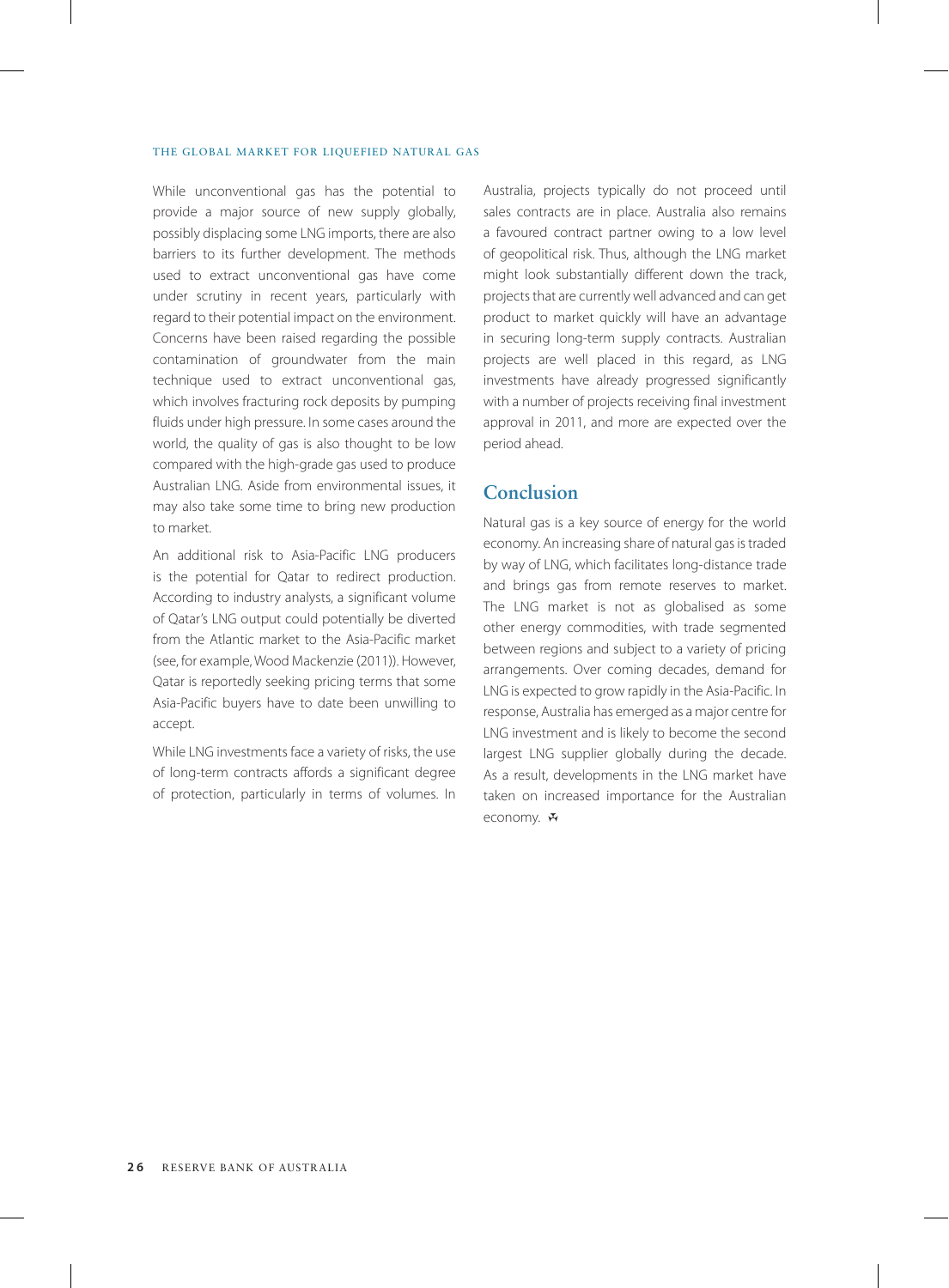## THE GLOBAL MARKET FOR LIQUEFIED NATURAL GAS

While unconventional gas has the potential to provide a major source of new supply globally, possibly displacing some LNG imports, there are also barriers to its further development. The methods used to extract unconventional gas have come under scrutiny in recent years, particularly with regard to their potential impact on the environment. Concerns have been raised regarding the possible contamination of groundwater from the main technique used to extract unconventional gas, which involves fracturing rock deposits by pumping fluids under high pressure. In some cases around the world, the quality of gas is also thought to be low compared with the high-grade gas used to produce Australian LNG. Aside from environmental issues, it may also take some time to bring new production to market.

An additional risk to Asia-Pacific LNG producers is the potential for Qatar to redirect production. According to industry analysts, a significant volume of Qatar's LNG output could potentially be diverted from the Atlantic market to the Asia-Pacific market (see, for example, Wood Mackenzie (2011)). However, Qatar is reportedly seeking pricing terms that some Asia-Pacific buyers have to date been unwilling to accept.

While LNG investments face a variety of risks, the use of long-term contracts affords a significant degree of protection, particularly in terms of volumes. In Australia, projects typically do not proceed until sales contracts are in place. Australia also remains a favoured contract partner owing to a low level of geopolitical risk. Thus, although the LNG market might look substantially different down the track, projects that are currently well advanced and can get product to market quickly will have an advantage in securing long-term supply contracts. Australian projects are well placed in this regard, as LNG investments have already progressed significantly with a number of projects receiving final investment approval in 2011, and more are expected over the period ahead.

# **Conclusion**

Natural gas is a key source of energy for the world economy. An increasing share of natural gas is traded by way of LNG, which facilitates long-distance trade and brings gas from remote reserves to market. The LNG market is not as globalised as some other energy commodities, with trade segmented between regions and subject to a variety of pricing arrangements. Over coming decades, demand for LNG is expected to grow rapidly in the Asia-Pacific. In response, Australia has emerged as a major centre for LNG investment and is likely to become the second largest LNG supplier globally during the decade. As a result, developments in the LNG market have taken on increased importance for the Australian economy. H